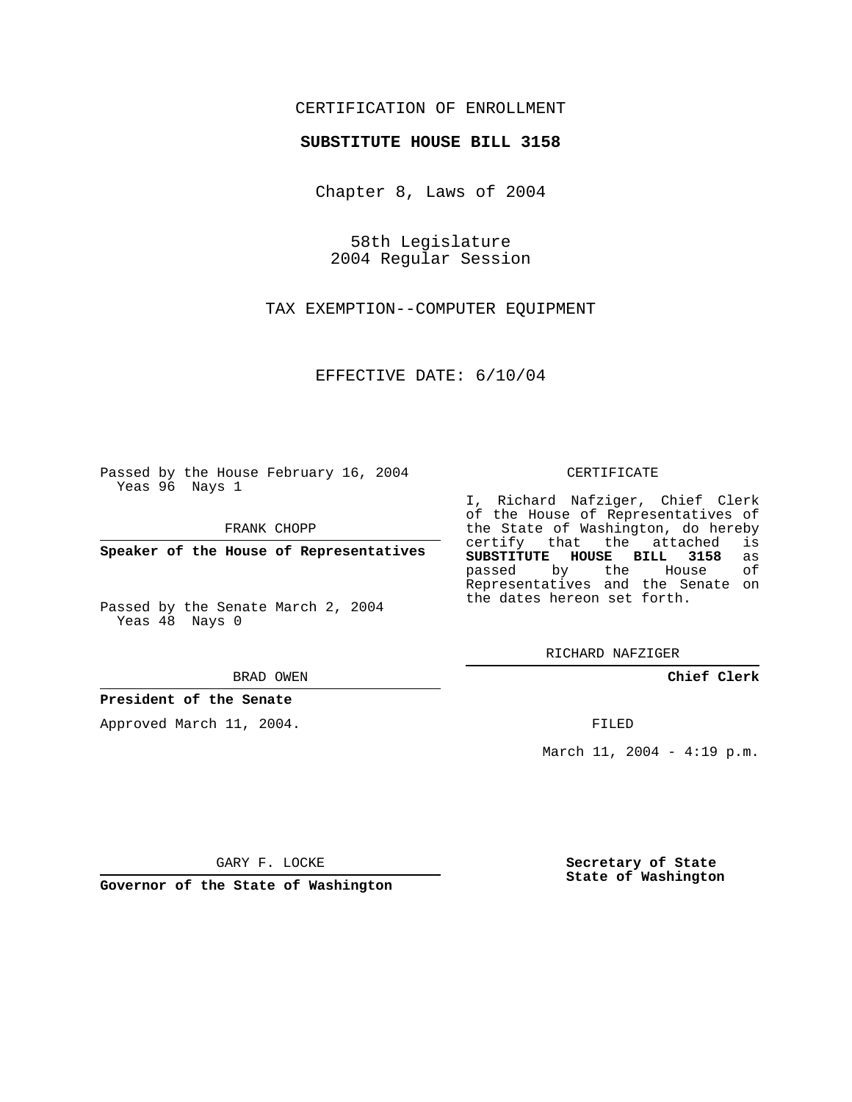## CERTIFICATION OF ENROLLMENT

#### **SUBSTITUTE HOUSE BILL 3158**

Chapter 8, Laws of 2004

58th Legislature 2004 Regular Session

TAX EXEMPTION--COMPUTER EQUIPMENT

EFFECTIVE DATE: 6/10/04

Passed by the House February 16, 2004 Yeas 96 Nays 1

FRANK CHOPP

**Speaker of the House of Representatives**

Passed by the Senate March 2, 2004 Yeas 48 Nays 0

BRAD OWEN

### **President of the Senate**

Approved March 11, 2004.

CERTIFICATE

I, Richard Nafziger, Chief Clerk of the House of Representatives of the State of Washington, do hereby<br>certify that the attached is certify that the attached **SUBSTITUTE HOUSE BILL 3158** as passed by the House Representatives and the Senate on the dates hereon set forth.

RICHARD NAFZIGER

**Chief Clerk**

FILED

March 11, 2004 - 4:19 p.m.

GARY F. LOCKE

**Governor of the State of Washington**

**Secretary of State State of Washington**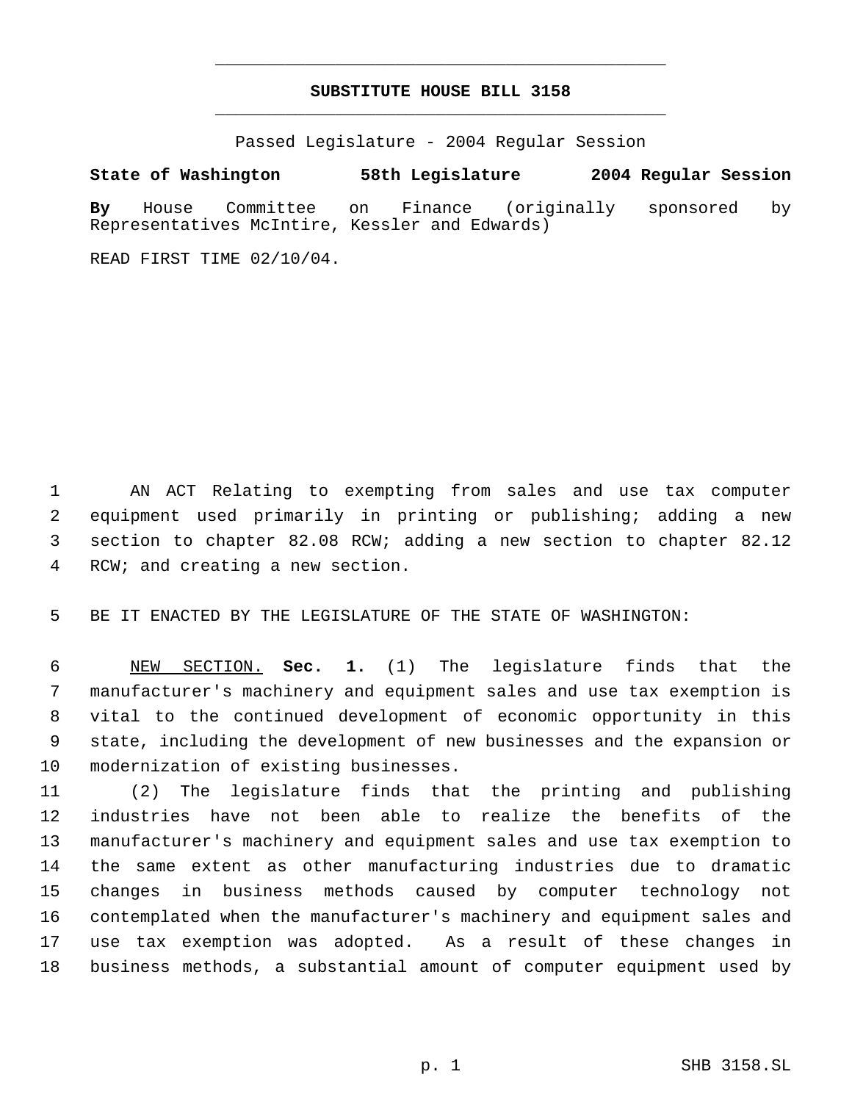## **SUBSTITUTE HOUSE BILL 3158** \_\_\_\_\_\_\_\_\_\_\_\_\_\_\_\_\_\_\_\_\_\_\_\_\_\_\_\_\_\_\_\_\_\_\_\_\_\_\_\_\_\_\_\_\_

\_\_\_\_\_\_\_\_\_\_\_\_\_\_\_\_\_\_\_\_\_\_\_\_\_\_\_\_\_\_\_\_\_\_\_\_\_\_\_\_\_\_\_\_\_

Passed Legislature - 2004 Regular Session

# **State of Washington 58th Legislature 2004 Regular Session**

**By** House Committee on Finance (originally sponsored by Representatives McIntire, Kessler and Edwards)

READ FIRST TIME 02/10/04.

 AN ACT Relating to exempting from sales and use tax computer equipment used primarily in printing or publishing; adding a new section to chapter 82.08 RCW; adding a new section to chapter 82.12 RCW; and creating a new section.

BE IT ENACTED BY THE LEGISLATURE OF THE STATE OF WASHINGTON:

 NEW SECTION. **Sec. 1.** (1) The legislature finds that the manufacturer's machinery and equipment sales and use tax exemption is vital to the continued development of economic opportunity in this state, including the development of new businesses and the expansion or modernization of existing businesses.

 (2) The legislature finds that the printing and publishing industries have not been able to realize the benefits of the manufacturer's machinery and equipment sales and use tax exemption to the same extent as other manufacturing industries due to dramatic changes in business methods caused by computer technology not contemplated when the manufacturer's machinery and equipment sales and use tax exemption was adopted. As a result of these changes in business methods, a substantial amount of computer equipment used by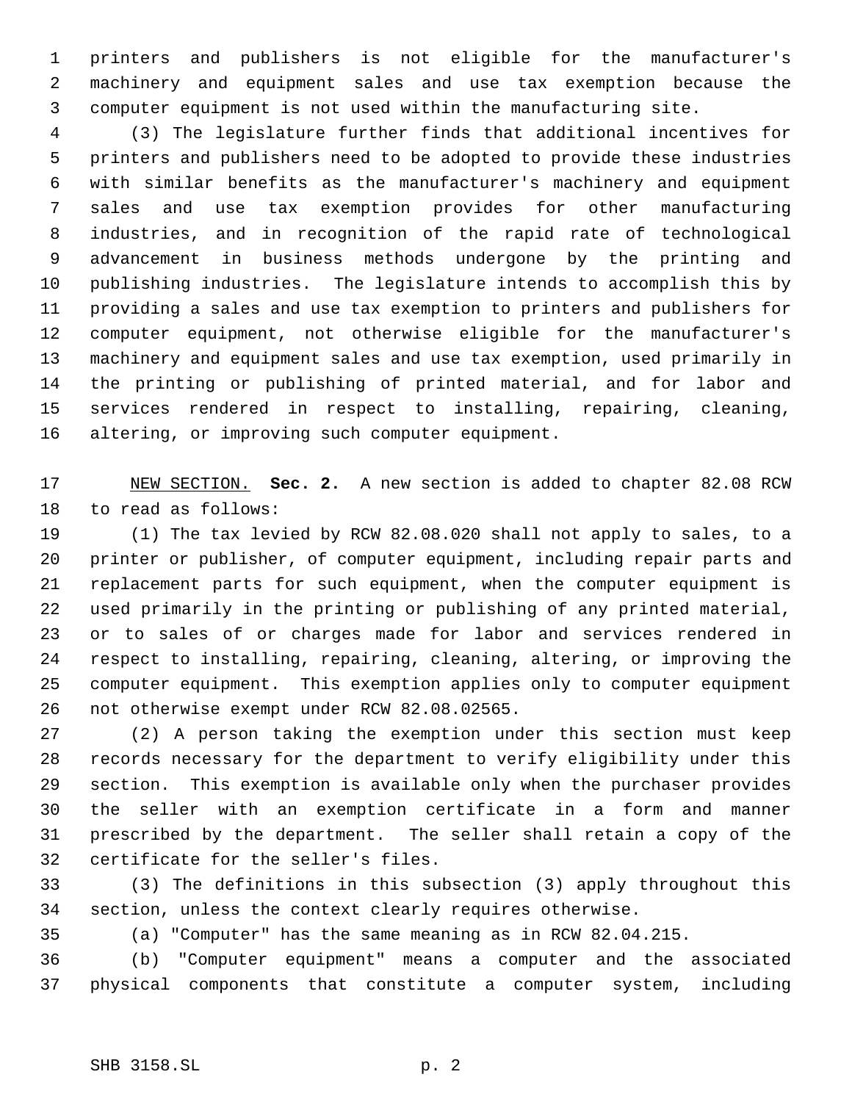printers and publishers is not eligible for the manufacturer's machinery and equipment sales and use tax exemption because the computer equipment is not used within the manufacturing site.

 (3) The legislature further finds that additional incentives for printers and publishers need to be adopted to provide these industries with similar benefits as the manufacturer's machinery and equipment sales and use tax exemption provides for other manufacturing industries, and in recognition of the rapid rate of technological advancement in business methods undergone by the printing and publishing industries. The legislature intends to accomplish this by providing a sales and use tax exemption to printers and publishers for computer equipment, not otherwise eligible for the manufacturer's machinery and equipment sales and use tax exemption, used primarily in the printing or publishing of printed material, and for labor and services rendered in respect to installing, repairing, cleaning, altering, or improving such computer equipment.

 NEW SECTION. **Sec. 2.** A new section is added to chapter 82.08 RCW to read as follows:

 (1) The tax levied by RCW 82.08.020 shall not apply to sales, to a printer or publisher, of computer equipment, including repair parts and replacement parts for such equipment, when the computer equipment is used primarily in the printing or publishing of any printed material, or to sales of or charges made for labor and services rendered in respect to installing, repairing, cleaning, altering, or improving the computer equipment. This exemption applies only to computer equipment not otherwise exempt under RCW 82.08.02565.

 (2) A person taking the exemption under this section must keep records necessary for the department to verify eligibility under this section. This exemption is available only when the purchaser provides the seller with an exemption certificate in a form and manner prescribed by the department. The seller shall retain a copy of the certificate for the seller's files.

 (3) The definitions in this subsection (3) apply throughout this section, unless the context clearly requires otherwise.

(a) "Computer" has the same meaning as in RCW 82.04.215.

 (b) "Computer equipment" means a computer and the associated physical components that constitute a computer system, including